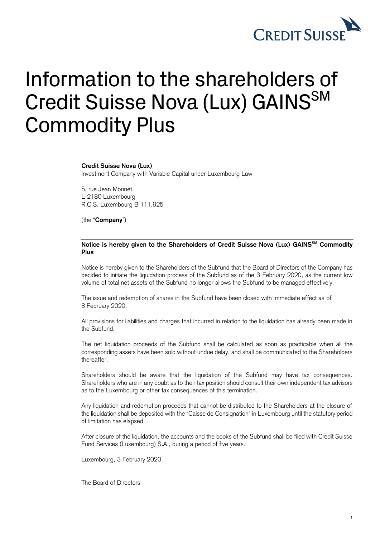

## Information to the shareholders of Credit Suisse Nova (Lux) GAINS<sup>SM</sup> Commodity Plus

## **Credit Suisse Nova (Lux)**

Investment Company with Variable Capital under Luxembourg Law

5, rue Jean Monnet, L-2180 Luxembourg R.C.S. Luxembourg B 111.925

(the "**Company**")

## **Notice is hereby given to the Shareholders of Credit Suisse Nova (Lux) GAINSSM Commodity Plus**

Notice is hereby given to the Shareholders of the Subfund that the Board of Directors of the Company has decided to initiate the liquidation process of the Subfund as of the 3 February 2020, as the current low volume of total net assets of the Subfund no longer allows the Subfund to be managed effectively.

The issue and redemption of shares in the Subfund have been closed with immediate effect as of 3 February 2020.

All provisions for liabilities and charges that incurred in relation to the liquidation has already been made in the Subfund.

The net liquidation proceeds of the Subfund shall be calculated as soon as practicable when all the corresponding assets have been sold without undue delay, and shall be communicated to the Shareholders thereafter.

Shareholders should be aware that the liquidation of the Subfund may have tax consequences. Shareholders who are in any doubt as to their tax position should consult their own independent tax advisors as to the Luxembourg or other tax consequences of this termination.

Any liquidation and redemption proceeds that cannot be distributed to the Shareholders at the closure of the liquidation shall be deposited with the "Caisse de Consignation" in Luxembourg until the statutory period of limitation has elapsed.

After closure of the liquidation, the accounts and the books of the Subfund shall be filed with Credit Suisse Fund Services (Luxembourg) S.A., during a period of five years.

Luxembourg, 3 February 2020

The Board of Directors